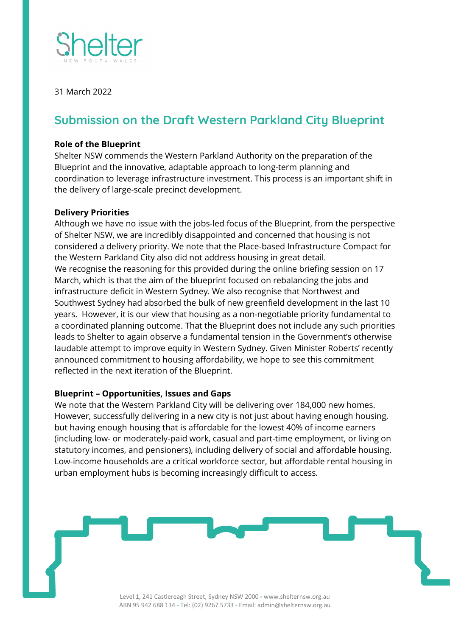

31 March 2022

## **Submission on the Draft Western Parkland City Blueprint**

## **Role of the Blueprint**

Shelter NSW commends the Western Parkland Authority on the preparation of the Blueprint and the innovative, adaptable approach to long-term planning and coordination to leverage infrastructure investment. This process is an important shift in the delivery of large-scale precinct development.

## **Delivery Priorities**

Although we have no issue with the jobs-led focus of the Blueprint, from the perspective of Shelter NSW, we are incredibly disappointed and concerned that housing is not considered a delivery priority. We note that the Place-based Infrastructure Compact for the Western Parkland City also did not address housing in great detail. We recognise the reasoning for this provided during the online briefing session on 17 March, which is that the aim of the blueprint focused on rebalancing the jobs and infrastructure deficit in Western Sydney. We also recognise that Northwest and Southwest Sydney had absorbed the bulk of new greenfield development in the last 10 years. However, it is our view that housing as a non-negotiable priority fundamental to a coordinated planning outcome. That the Blueprint does not include any such priorities leads to Shelter to again observe a fundamental tension in the Government's otherwise laudable attempt to improve equity in Western Sydney. Given Minister Roberts' recently announced commitment to housing affordability, we hope to see this commitment reflected in the next iteration of the Blueprint.

## **Blueprint – Opportunities, Issues and Gaps**

We note that the Western Parkland City will be delivering over 184,000 new homes. However, successfully delivering in a new city is not just about having enough housing, but having enough housing that is affordable for the lowest 40% of income earners (including low- or moderately-paid work, casual and part-time employment, or living on statutory incomes, and pensioners), including delivery of social and affordable housing. Low-income households are a critical workforce sector, but affordable rental housing in urban employment hubs is becoming increasingly difficult to access.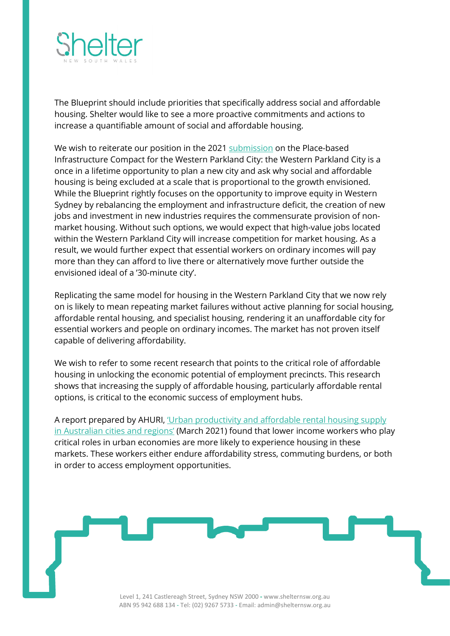

The Blueprint should include priorities that specifically address social and affordable housing. Shelter would like to see a more proactive commitments and actions to increase a quantifiable amount of social and affordable housing.

We wish to reiterate our position in the 2021 [submission](https://shelternsw.org.au/wp-content/uploads/2021/02/Shelter-NSW-Submission-PIC.pdf) on the Place-based Infrastructure Compact for the Western Parkland City: the Western Parkland City is a once in a lifetime opportunity to plan a new city and ask why social and affordable housing is being excluded at a scale that is proportional to the growth envisioned. While the Blueprint rightly focuses on the opportunity to improve equity in Western Sydney by rebalancing the employment and infrastructure deficit, the creation of new jobs and investment in new industries requires the commensurate provision of nonmarket housing. Without such options, we would expect that high-value jobs located within the Western Parkland City will increase competition for market housing. As a result, we would further expect that essential workers on ordinary incomes will pay more than they can afford to live there or alternatively move further outside the envisioned ideal of a '30-minute city'.

Replicating the same model for housing in the Western Parkland City that we now rely on is likely to mean repeating market failures without active planning for social housing, affordable rental housing, and specialist housing, rendering it an unaffordable city for essential workers and people on ordinary incomes. The market has not proven itself capable of delivering affordability.

We wish to refer to some recent research that points to the critical role of affordable housing in unlocking the economic potential of employment precincts. This research shows that increasing the supply of affordable housing, particularly affordable rental options, is critical to the economic success of employment hubs.

A report prepared by AHURI, ['Urban productivity and affordable rental housing supply](https://www.ahuri.edu.au/research/final-reports/353)  [in Australian cities and regions'](https://www.ahuri.edu.au/research/final-reports/353) (March 2021) found that lower income workers who play critical roles in urban economies are more likely to experience housing in these markets. These workers either endure affordability stress, commuting burdens, or both in order to access employment opportunities.